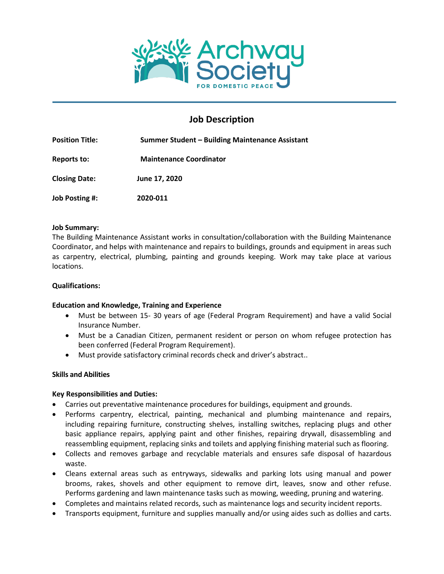

# **Job Description**

| <b>Position Title:</b><br>Reports to: | Summer Student – Building Maintenance Assistant<br><b>Maintenance Coordinator</b> |
|---------------------------------------|-----------------------------------------------------------------------------------|
|                                       |                                                                                   |
| Job Posting #:                        | 2020-011                                                                          |

#### **Job Summary:**

The Building Maintenance Assistant works in consultation/collaboration with the Building Maintenance Coordinator, and helps with maintenance and repairs to buildings, grounds and equipment in areas such as carpentry, electrical, plumbing, painting and grounds keeping. Work may take place at various locations.

#### **Qualifications:**

## **Education and Knowledge, Training and Experience**

- Must be between 15- 30 years of age (Federal Program Requirement) and have a valid Social Insurance Number.
- Must be a Canadian Citizen, permanent resident or person on whom refugee protection has been conferred (Federal Program Requirement).
- Must provide satisfactory criminal records check and driver's abstract..

## **Skills and Abilities**

## **Key Responsibilities and Duties:**

- Carries out preventative maintenance procedures for buildings, equipment and grounds.
- Performs carpentry, electrical, painting, mechanical and plumbing maintenance and repairs, including repairing furniture, constructing shelves, installing switches, replacing plugs and other basic appliance repairs, applying paint and other finishes, repairing drywall, disassembling and reassembling equipment, replacing sinks and toilets and applying finishing material such as flooring.
- Collects and removes garbage and recyclable materials and ensures safe disposal of hazardous waste.
- Cleans external areas such as entryways, sidewalks and parking lots using manual and power brooms, rakes, shovels and other equipment to remove dirt, leaves, snow and other refuse. Performs gardening and lawn maintenance tasks such as mowing, weeding, pruning and watering.
- Completes and maintains related records, such as maintenance logs and security incident reports.
- Transports equipment, furniture and supplies manually and/or using aides such as dollies and carts.